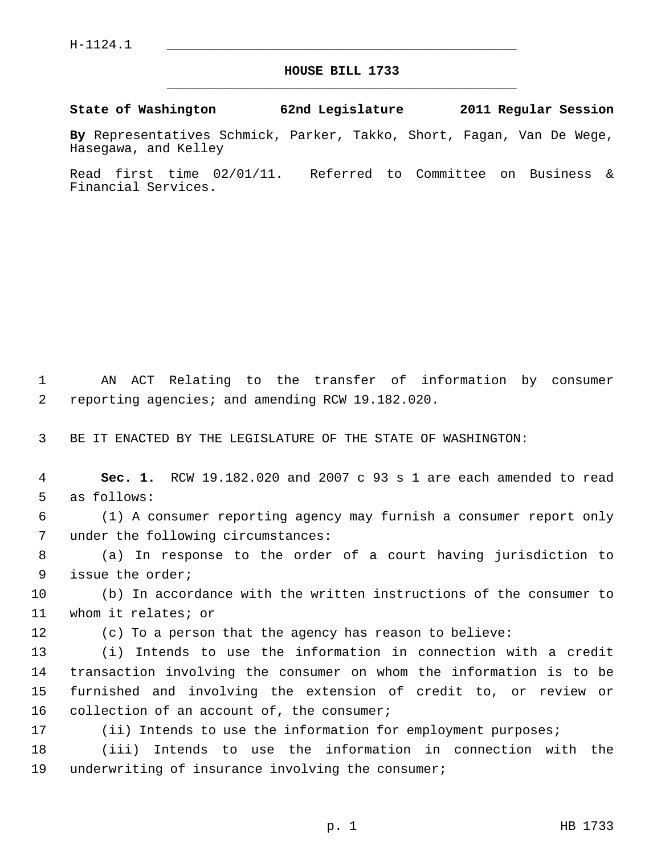## **HOUSE BILL 1733** \_\_\_\_\_\_\_\_\_\_\_\_\_\_\_\_\_\_\_\_\_\_\_\_\_\_\_\_\_\_\_\_\_\_\_\_\_\_\_\_\_\_\_\_\_

**State of Washington 62nd Legislature 2011 Regular Session**

**By** Representatives Schmick, Parker, Takko, Short, Fagan, Van De Wege, Hasegawa, and Kelley

Read first time 02/01/11. Referred to Committee on Business & Financial Services.

 1 AN ACT Relating to the transfer of information by consumer 2 reporting agencies; and amending RCW 19.182.020.

3 BE IT ENACTED BY THE LEGISLATURE OF THE STATE OF WASHINGTON:

 4 **Sec. 1.** RCW 19.182.020 and 2007 c 93 s 1 are each amended to read 5 as follows:

 6 (1) A consumer reporting agency may furnish a consumer report only 7 under the following circumstances:

 8 (a) In response to the order of a court having jurisdiction to 9 issue the order;

10 (b) In accordance with the written instructions of the consumer to 11 whom it relates; or

12 (c) To a person that the agency has reason to believe:

13 (i) Intends to use the information in connection with a credit 14 transaction involving the consumer on whom the information is to be 15 furnished and involving the extension of credit to, or review or 16 collection of an account of, the consumer;

17 (ii) Intends to use the information for employment purposes;

18 (iii) Intends to use the information in connection with the 19 underwriting of insurance involving the consumer;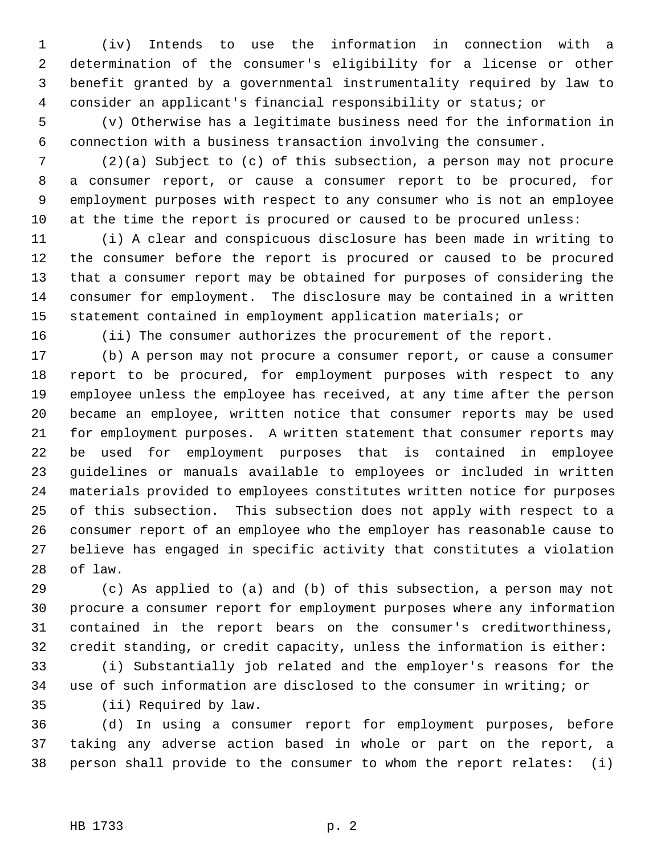1 (iv) Intends to use the information in connection with a 2 determination of the consumer's eligibility for a license or other 3 benefit granted by a governmental instrumentality required by law to 4 consider an applicant's financial responsibility or status; or

 5 (v) Otherwise has a legitimate business need for the information in 6 connection with a business transaction involving the consumer.

 7 (2)(a) Subject to (c) of this subsection, a person may not procure 8 a consumer report, or cause a consumer report to be procured, for 9 employment purposes with respect to any consumer who is not an employee 10 at the time the report is procured or caused to be procured unless:

11 (i) A clear and conspicuous disclosure has been made in writing to 12 the consumer before the report is procured or caused to be procured 13 that a consumer report may be obtained for purposes of considering the 14 consumer for employment. The disclosure may be contained in a written 15 statement contained in employment application materials; or

16 (ii) The consumer authorizes the procurement of the report.

17 (b) A person may not procure a consumer report, or cause a consumer 18 report to be procured, for employment purposes with respect to any 19 employee unless the employee has received, at any time after the person 20 became an employee, written notice that consumer reports may be used 21 for employment purposes. A written statement that consumer reports may 22 be used for employment purposes that is contained in employee 23 guidelines or manuals available to employees or included in written 24 materials provided to employees constitutes written notice for purposes 25 of this subsection. This subsection does not apply with respect to a 26 consumer report of an employee who the employer has reasonable cause to 27 believe has engaged in specific activity that constitutes a violation 28 of law.

29 (c) As applied to (a) and (b) of this subsection, a person may not 30 procure a consumer report for employment purposes where any information 31 contained in the report bears on the consumer's creditworthiness, 32 credit standing, or credit capacity, unless the information is either:

33 (i) Substantially job related and the employer's reasons for the 34 use of such information are disclosed to the consumer in writing; or 35 (ii) Required by law.

36 (d) In using a consumer report for employment purposes, before 37 taking any adverse action based in whole or part on the report, a 38 person shall provide to the consumer to whom the report relates: (i)